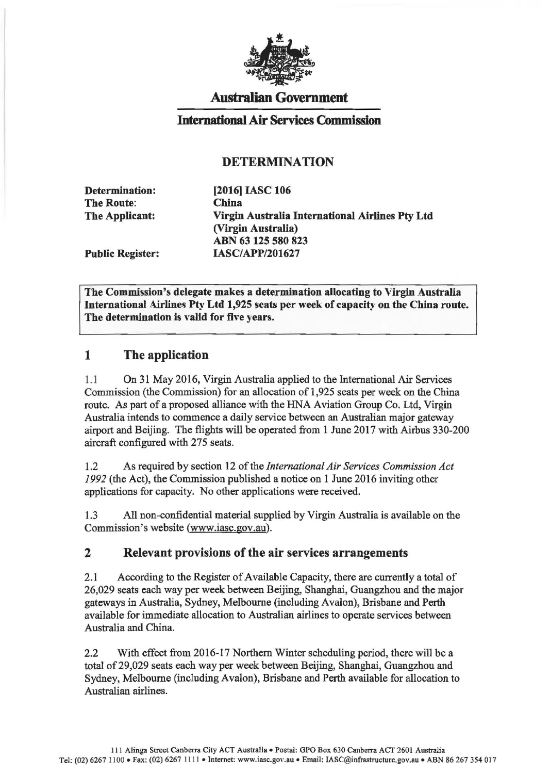

## Australian Government

### International Air Services Commission

### DETERMINATION

Determination: The Route: The Applicant:

[2016) IASC 106 China Virgin Australia International Airlines Pty Ltd (Virgin Australia) ABN 63 125 580 823 IASC/APP/201627

Public Register:

The Commission's delegate makes a determination allocating to Virgin Australia International Airlines Pty Ltd 1,925 seats per week of capacity on the China route. The determination is valid for five years.

## 1 The application

1.1 On 31 May 2016, Virgin Australia applied to the International Air Services Commission (the Commission) for an allocation of 1,925 seats per week on the China route. As part of a proposed alliance with the HNA Aviation Group Co. Ltd, Virgin Australia intends to commence a daily service between an Australian major gateway airport and Beijing. The flights will be operated from 1 June 2017 with Airbus 330-200 aircraft configured with 275 seats.

1.2 As required by section 12 of the *International Air Services Commission Act 1992* (the Act), the Commission published a notice on 1 June 2016 inviting other applications for capacity. No other applications were received.

1.3 All non-confidential material supplied by Virgin Australia is available on the Commission's website (www.iasc.gov.au).

#### 2 Relevant provisions of the air services arrangements

2.1 According to the Register of Available Capacity, there are currently a total of 26,029 seats each way per week between Beijing, Shanghai, Guangzhou and the major gateways in Australia, Sydney, Melbourne (including Avalon), Brisbane and Perth available for immediate allocation to Australian airlines to operate services between Australia and China.

2.2 With effect from 2016-17 Northern Winter scheduling period, there will be a total of 29,029 seats each way per week between Beijing, Shanghai, Guangzhou and Sydney, Melbourne (including Avalon), Brisbane and Perth available for allocation to Australian airlines.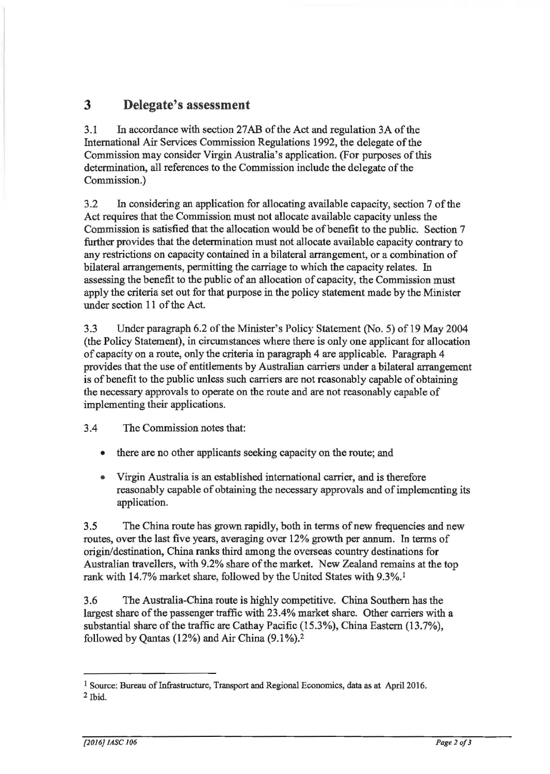# **3 Delegate's assessment**

3.1 In accordance with section 27AB of the Act and regulation 3A ofthe International Air Services Commission Regulations 1992, the delegate of the Commission may consider Virgin Australia's application. (For purposes of this determination, all references to the Commission include the delegate of the Commission.)

3 .2 In considering an application for allocating available capacity, section 7 of the Act requires that the Commission must not allocate available capacity unless the Commission is satisfied that the allocation would be of benefit to the public. Section 7 further provides that the determination must not allocate available capacity contrary to any restrictions on capacity contained in a bilateral arrangement, or a combination of bilateral arrangements, permitting the carriage to which the capacity relates. In assessing the benefit to the public of an allocation of capacity, the Commission must apply the criteria set out for that purpose in the policy statement made by the Minister under section 11 of the Act.

3.3 Under paragraph 6.2 of the Minister's Policy Statement (No.5) of 19 May 2004 (the Policy Statement), in circumstances where there is only one applicant for allocation of capacity on a route, only the criteria in paragraph 4 are applicable. Paragraph 4 provides that the use of entitlements by Australian carriers under a bilateral arrangement is of benefit to the public unless such carriers are not reasonably capable of obtaining the necessary approvals to operate on the route and are not reasonably capable of implementing their applications.

3.4 The Commission notes that:

- there are no other applicants seeking capacity on the route; and
- Virgin Australia is an established international carrier, and is therefore reasonably capable of obtaining the necessary approvals and of implementing its application.

3.5 The China route has grown rapidly, both in terms of new frequencies and new routes, over the last five years, averaging over 12% growth per annum. In terms of origin/destination, China ranks third among the overseas country destinations for Australian travellers, with 9.2% share of the market. New Zealand remains at the top rank with 14.7% market share, followed by the United States with 9.3%. <sup>1</sup>

3.6 The Australia-China route is highly competitive. China Southern has the largest share of the passenger traffic with 23.4% market share. Other carriers with a substantial share of the traffic are Cathay Pacific (15.3%), China Eastern (13.7%), followed by Qantas  $(12\%)$  and Air China  $(9.1\%)$ .<sup>2</sup>

I Source: Bureau of Infrastructure, Transport and Regional Economics, data as at April2016. 2 Ibid.